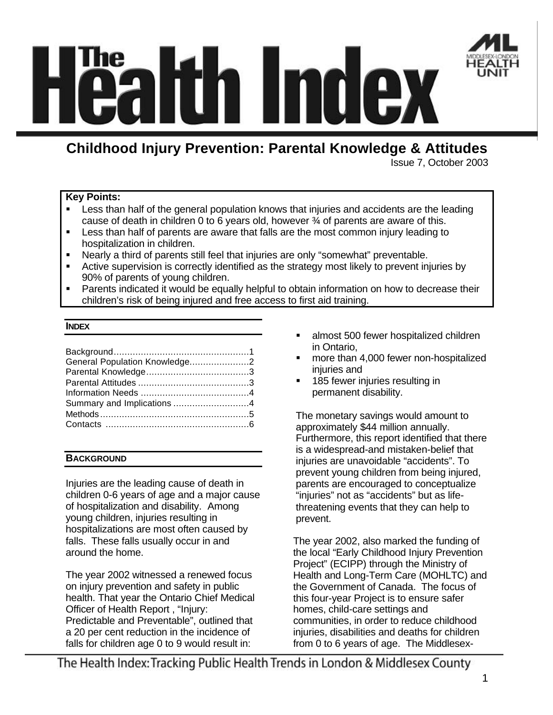

# MO (2)

# **Childhood Injury Prevention: Parental Knowledge & Attitudes**

Issue 7, October 2003

# **Key Points:**

- ß Less than half of the general population knows that injuries and accidents are the leading cause of death in children 0 to 6 years old, however  $\frac{3}{4}$  of parents are aware of this.
- ß Less than half of parents are aware that falls are the most common injury leading to hospitalization in children.
- Nearly a third of parents still feel that injuries are only "somewhat" preventable.
- Active supervision is correctly identified as the strategy most likely to prevent injuries by 90% of parents of young children.
- ß Parents indicated it would be equally helpful to obtain information on how to decrease their children's risk of being injured and free access to first aid training.

# **INDEX**

| General Population Knowledge2 |  |
|-------------------------------|--|
|                               |  |
|                               |  |
|                               |  |
|                               |  |
|                               |  |
|                               |  |
|                               |  |

# **BACKGROUND**

Injuries are the leading cause of death in children 0-6 years of age and a major cause of hospitalization and disability. Among young children, injuries resulting in hospitalizations are most often caused by falls. These falls usually occur in and around the home.

The year 2002 witnessed a renewed focus on injury prevention and safety in public health. That year the Ontario Chief Medical Officer of Health Report , "Injury: Predictable and Preventable", outlined that a 20 per cent reduction in the incidence of falls for children age 0 to 9 would result in:

- **EXEC** almost 500 fewer hospitalized children in Ontario,
- ß more than 4,000 fewer non-hospitalized injuries and
- **185 fewer injuries resulting in** permanent disability.

The monetary savings would amount to approximately \$44 million annually. Furthermore, this report identified that there is a widespread-and mistaken-belief that injuries are unavoidable "accidents". To prevent young children from being injured, parents are encouraged to conceptualize "injuries" not as "accidents" but as lifethreatening events that they can help to prevent.

The year 2002, also marked the funding of the local "Early Childhood Injury Prevention Project" (ECIPP) through the Ministry of Health and Long-Term Care (MOHLTC) and the Government of Canada. The focus of this four-year Project is to ensure safer homes, child-care settings and communities, in order to reduce childhood injuries, disabilities and deaths for children from 0 to 6 years of age. The Middlesex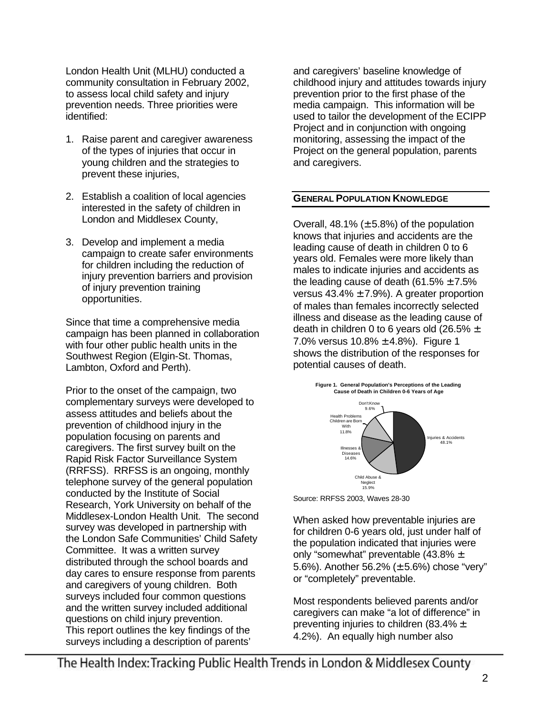London Health Unit (MLHU) conducted a community consultation in February 2002, to assess local child safety and injury prevention needs. Three priorities were identified:

- 1. Raise parent and caregiver awareness of the types of injuries that occur in young children and the strategies to prevent these injuries,
- 2. Establish a coalition of local agencies interested in the safety of children in London and Middlesex County,
- 3. Develop and implement a media campaign to create safer environments for children including the reduction of injury prevention barriers and provision of injury prevention training opportunities.

Since that time a comprehensive media campaign has been planned in collaboration with four other public health units in the Southwest Region (Elgin-St. Thomas, Lambton, Oxford and Perth).

Prior to the onset of the campaign, two complementary surveys were developed to assess attitudes and beliefs about the prevention of childhood injury in the population focusing on parents and caregivers. The first survey built on the Rapid Risk Factor Surveillance System (RRFSS). RRFSS is an ongoing, monthly telephone survey of the general population conducted by the Institute of Social Research, York University on behalf of the Middlesex-London Health Unit. The second survey was developed in partnership with the London Safe Communities' Child Safety Committee. It was a written survey distributed through the school boards and day cares to ensure response from parents and caregivers of young children. Both surveys included four common questions and the written survey included additional questions on child injury prevention. This report outlines the key findings of the surveys including a description of parents'

and caregivers' baseline knowledge of childhood injury and attitudes towards injury prevention prior to the first phase of the media campaign. This information will be used to tailor the development of the ECIPP Project and in conjunction with ongoing monitoring, assessing the impact of the Project on the general population, parents and caregivers.

# **GENERAL POPULATION KNOWLEDGE**

Overall, 48.1% ( $\pm$  5.8%) of the population knows that injuries and accidents are the leading cause of death in children 0 to 6 years old. Females were more likely than males to indicate injuries and accidents as the leading cause of death (61.5%  $\pm$  7.5% versus  $43.4\% \pm 7.9\%$ ). A greater proportion of males than females incorrectly selected illness and disease as the leading cause of death in children 0 to 6 years old (26.5%  $\pm$ 7.0% versus  $10.8\% \pm 4.8\%$ ). Figure 1 shows the distribution of the responses for potential causes of death.



Source: RRFSS 2003, Waves 28-30

When asked how preventable injuries are for children 0-6 years old, just under half of the population indicated that injuries were only "somewhat" preventable (43.8% ± 5.6%). Another 56.2% (± 5.6%) chose "very" or "completely" preventable.

Most respondents believed parents and/or caregivers can make "a lot of difference" in preventing injuries to children (83.4% ± 4.2%). An equally high number also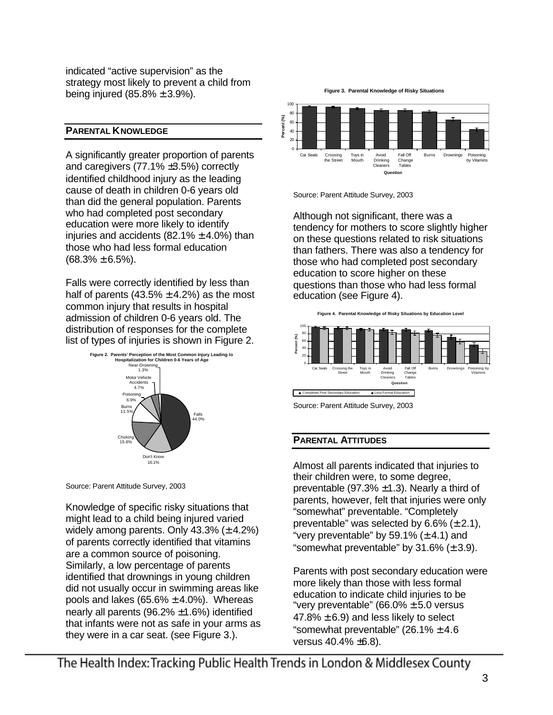indicated "active supervision" as the strategy most likely to prevent a child from being injured  $(85.8\% \pm 3.9\%).$ 

# **PARENTAL KNOWLEDGE**

A significantly greater proportion of parents and caregivers (77.1% ±3.5%) correctly identified childhood injury as the leading cause of death in children 0-6 years old than did the general population. Parents who had completed post secondary education were more likely to identify injuries and accidents  $(82.1\% \pm 4.0\%)$  than those who had less formal education  $(68.3\% \pm 6.5\%).$ 

Falls were correctly identified by less than half of parents  $(43.5\% \pm 4.2\%)$  as the most common injury that results in hospital admission of children 0-6 years old. The distribution of responses for the complete list of types of injuries is shown in Figure 2.



Source: Parent Attitude Survey, 2003

Knowledge of specific risky situations that might lead to a child being injured varied widely among parents. Only  $43.3\%$  ( $\pm$  4.2%) of parents correctly identified that vitamins are a common source of poisoning. Similarly, a low percentage of parents identified that drownings in young children did not usually occur in swimming areas like pools and lakes  $(65.6\% \pm 4.0\%)$ . Whereas nearly all parents  $(96.2\% \pm 1.6\%)$  identified that infants were not as safe in your arms as they were in a car seat. (see Figure 3.).

**Figure 3. Parental Knowledge of Risky Situations**



Source: Parent Attitude Survey, 2003

Although not significant, there was a tendency for mothers to score slightly higher on these questions related to risk situations than fathers. There was also a tendency for those who had completed post secondary education to score higher on these questions than those who had less formal education (see Figure 4).



# **PARENTAL ATTITUDES**

Almost all parents indicated that injuries to their children were, to some degree, preventable (97.3%  $\pm$ 1.3). Nearly a third of parents, however, felt that injuries were only "somewhat" preventable. "Completely preventable" was selected by  $6.6\%$  ( $\pm$  2.1), "very preventable" by 59.1%  $(\pm 4.1)$  and "somewhat preventable" by  $31.6\%$  ( $\pm 3.9$ ).

Parents with post secondary education were more likely than those with less formal education to indicate child injuries to be "very preventable" (66.0%  $\pm$  5.0 versus 47.8%  $\pm$  6.9) and less likely to select "somewhat preventable"  $(26.1\% \pm 4.6$ versus 40.4% ±6.8).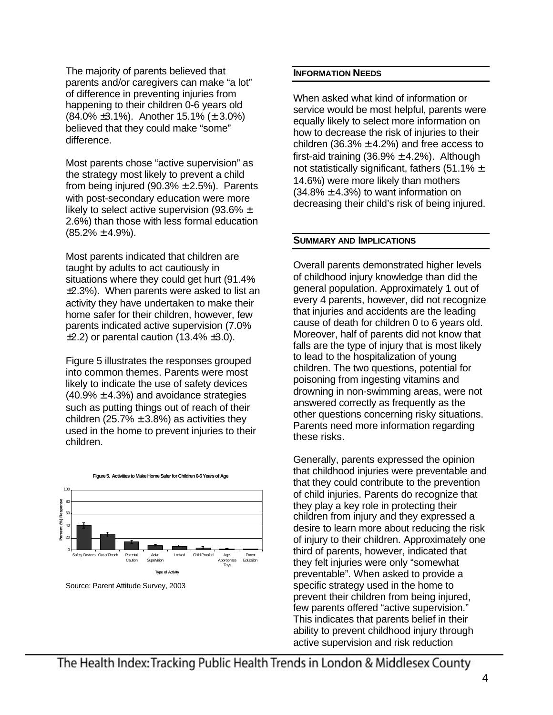The majority of parents believed that parents and/or caregivers can make "a lot" of difference in preventing injuries from happening to their children 0-6 years old  $(84.0\% \pm 3.1\%)$ . Another 15.1% ( $\pm 3.0\%$ ) believed that they could make "some" difference.

Most parents chose "active supervision" as the strategy most likely to prevent a child from being injured (90.3%  $\pm$  2.5%). Parents with post-secondary education were more likely to select active supervision (93.6%  $\pm$ 2.6%) than those with less formal education  $(85.2\% \pm 4.9\%).$ 

Most parents indicated that children are taught by adults to act cautiously in situations where they could get hurt (91.4% ±2.3%). When parents were asked to list an activity they have undertaken to make their home safer for their children, however, few parents indicated active supervision (7.0%  $\pm$ 2.2) or parental caution (13.4%  $\pm$ 3.0).

Figure 5 illustrates the responses grouped into common themes. Parents were most likely to indicate the use of safety devices  $(40.9\% \pm 4.3\%)$  and avoidance strategies such as putting things out of reach of their children (25.7%  $\pm$  3.8%) as activities they used in the home to prevent injuries to their children.





Source: Parent Attitude Survey, 2003

## **INFORMATION NEEDS**

When asked what kind of information or service would be most helpful, parents were equally likely to select more information on how to decrease the risk of injuries to their children (36.3%  $\pm$  4.2%) and free access to first-aid training  $(36.9\% \pm 4.2\%)$ . Although not statistically significant, fathers (51.1%  $\pm$ 14.6%) were more likely than mothers  $(34.8\% \pm 4.3\%)$  to want information on decreasing their child's risk of being injured.

## **SUMMARY AND IMPLICATIONS**

Overall parents demonstrated higher levels of childhood injury knowledge than did the general population. Approximately 1 out of every 4 parents, however, did not recognize that injuries and accidents are the leading cause of death for children 0 to 6 years old. Moreover, half of parents did not know that falls are the type of injury that is most likely to lead to the hospitalization of young children. The two questions, potential for poisoning from ingesting vitamins and drowning in non-swimming areas, were not answered correctly as frequently as the other questions concerning risky situations. Parents need more information regarding these risks.

Generally, parents expressed the opinion that childhood injuries were preventable and that they could contribute to the prevention of child injuries. Parents do recognize that they play a key role in protecting their children from injury and they expressed a desire to learn more about reducing the risk of injury to their children. Approximately one third of parents, however, indicated that they felt injuries were only "somewhat preventable". When asked to provide a specific strategy used in the home to prevent their children from being injured, few parents offered "active supervision." This indicates that parents belief in their ability to prevent childhood injury through active supervision and risk reduction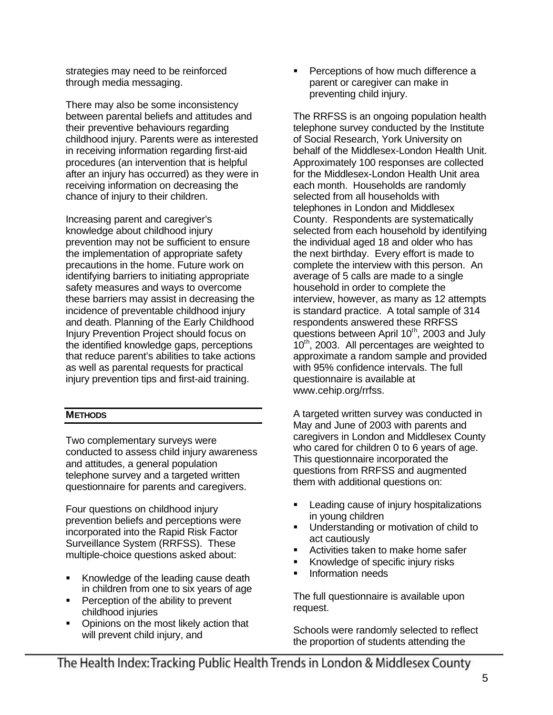strategies may need to be reinforced through media messaging.

There may also be some inconsistency between parental beliefs and attitudes and their preventive behaviours regarding childhood injury. Parents were as interested in receiving information regarding first-aid procedures (an intervention that is helpful after an injury has occurred) as they were in receiving information on decreasing the chance of injury to their children.

Increasing parent and caregiver's knowledge about childhood injury prevention may not be sufficient to ensure the implementation of appropriate safety precautions in the home. Future work on identifying barriers to initiating appropriate safety measures and ways to overcome these barriers may assist in decreasing the incidence of preventable childhood injury and death. Planning of the Early Childhood Injury Prevention Project should focus on the identified knowledge gaps, perceptions that reduce parent's abilities to take actions as well as parental requests for practical injury prevention tips and first-aid training.

# **METHODS**

Two complementary surveys were conducted to assess child injury awareness and attitudes, a general population telephone survey and a targeted written questionnaire for parents and caregivers.

Four questions on childhood injury prevention beliefs and perceptions were incorporated into the Rapid Risk Factor Surveillance System (RRFSS). These multiple-choice questions asked about:

- ß Knowledge of the leading cause death in children from one to six years of age
- ß Perception of the ability to prevent childhood injuries
- ß Opinions on the most likely action that will prevent child injury, and

ß Perceptions of how much difference a parent or caregiver can make in preventing child injury.

The RRFSS is an ongoing population health telephone survey conducted by the Institute of Social Research, York University on behalf of the Middlesex-London Health Unit. Approximately 100 responses are collected for the Middlesex-London Health Unit area each month. Households are randomly selected from all households with telephones in London and Middlesex County. Respondents are systematically selected from each household by identifying the individual aged 18 and older who has the next birthday. Every effort is made to complete the interview with this person. An average of 5 calls are made to a single household in order to complete the interview, however, as many as 12 attempts is standard practice. A total sample of 314 respondents answered these RRFSS questions between April 10<sup>th</sup>, 2003 and July 10<sup>th</sup>, 2003. All percentages are weighted to approximate a random sample and provided with 95% confidence intervals. The full questionnaire is available at www.cehip.org/rrfss.

A targeted written survey was conducted in May and June of 2003 with parents and caregivers in London and Middlesex County who cared for children 0 to 6 years of age. This questionnaire incorporated the questions from RRFSS and augmented them with additional questions on:

- ß Leading cause of injury hospitalizations in young children
- ß Understanding or motivation of child to act cautiously
- ß Activities taken to make home safer
- ß Knowledge of specific injury risks
- ß Information needs

The full questionnaire is available upon request.

Schools were randomly selected to reflect the proportion of students attending the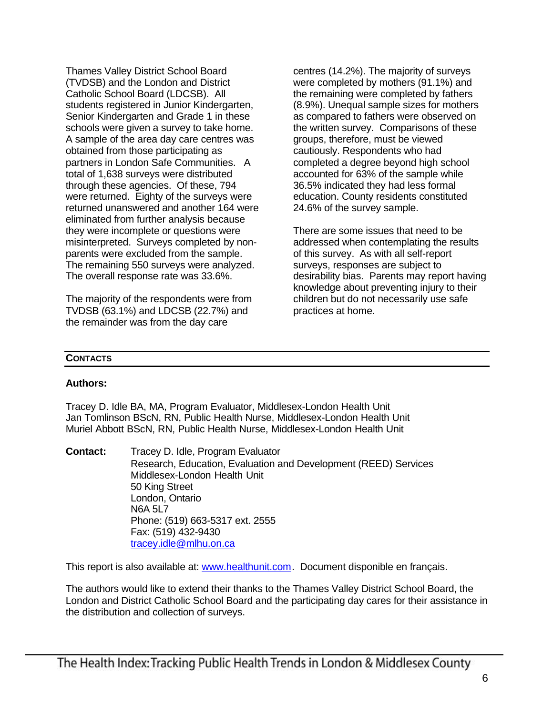Thames Valley District School Board (TVDSB) and the London and District Catholic School Board (LDCSB). All students registered in Junior Kindergarten, Senior Kindergarten and Grade 1 in these schools were given a survey to take home. A sample of the area day care centres was obtained from those participating as partners in London Safe Communities. A total of 1,638 surveys were distributed through these agencies. Of these, 794 were returned. Eighty of the surveys were returned unanswered and another 164 were eliminated from further analysis because they were incomplete or questions were misinterpreted. Surveys completed by nonparents were excluded from the sample. The remaining 550 surveys were analyzed. The overall response rate was 33.6%.

The majority of the respondents were from TVDSB (63.1%) and LDCSB (22.7%) and the remainder was from the day care

centres (14.2%). The majority of surveys were completed by mothers (91.1%) and the remaining were completed by fathers (8.9%). Unequal sample sizes for mothers as compared to fathers were observed on the written survey. Comparisons of these groups, therefore, must be viewed cautiously. Respondents who had completed a degree beyond high school accounted for 63% of the sample while 36.5% indicated they had less formal education. County residents constituted 24.6% of the survey sample.

There are some issues that need to be addressed when contemplating the results of this survey. As with all self-report surveys, responses are subject to desirability bias. Parents may report having knowledge about preventing injury to their children but do not necessarily use safe practices at home.

# **CONTACTS**

# **Authors:**

Tracey D. Idle BA, MA, Program Evaluator, Middlesex-London Health Unit Jan Tomlinson BScN, RN, Public Health Nurse, Middlesex-London Health Unit Muriel Abbott BScN, RN, Public Health Nurse, Middlesex-London Health Unit

**Contact:** Tracey D. Idle, Program Evaluator Research, Education, Evaluation and Development (REED) Services Middlesex-London Health Unit 50 King Street London, Ontario N6A 5L7 Phone: (519) 663-5317 ext. 2555 Fax: (519) 432-9430 tracey.idle@mlhu.on.ca

This report is also available at: www.healthunit.com. Document disponible en français.

The authors would like to extend their thanks to the Thames Valley District School Board, the London and District Catholic School Board and the participating day cares for their assistance in the distribution and collection of surveys.